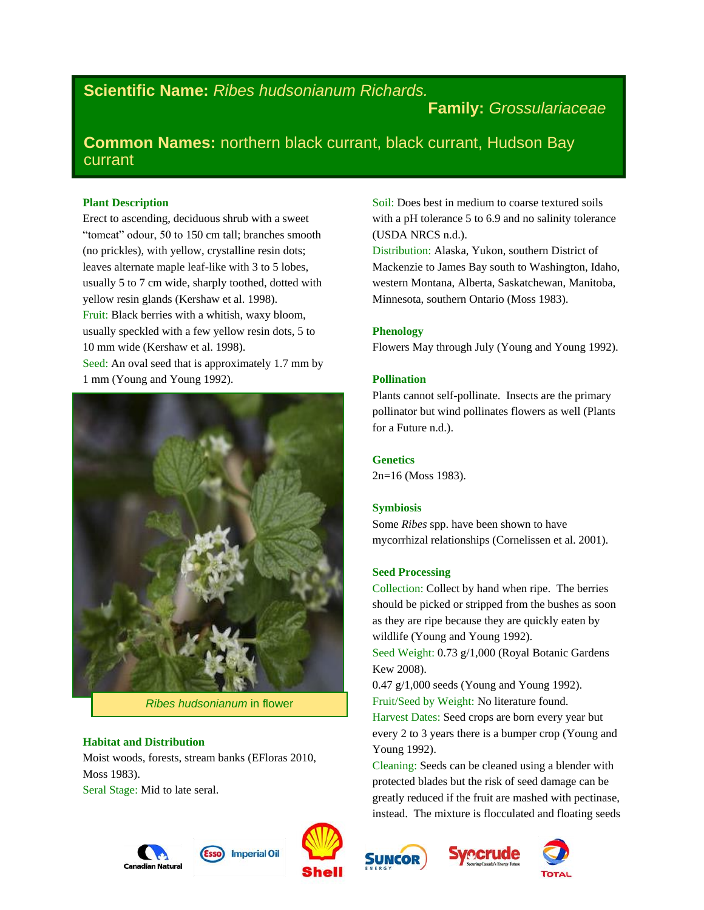# **Scientific Name:** *Ribes hudsonianum Richards.*

## **Family:** *Grossulariaceae*

**Common Names:** northern black currant, black currant, Hudson Bay currant

#### **Plant Description**

Erect to ascending, deciduous shrub with a sweet "tomcat" odour, 50 to 150 cm tall; branches smooth (no prickles), with yellow, crystalline resin dots; leaves alternate maple leaf-like with 3 to 5 lobes, usually 5 to 7 cm wide, sharply toothed, dotted with yellow resin glands (Kershaw et al. 1998). Fruit: Black berries with a whitish, waxy bloom, usually speckled with a few yellow resin dots, 5 to 10 mm wide (Kershaw et al. 1998). Seed: An oval seed that is approximately 1.7 mm by 1 mm (Young and Young 1992).



*Ribes hudsonianum* in flower

#### **Habitat and Distribution**

Moist woods, forests, stream banks (EFloras 2010, Moss 1983). Seral Stage: Mid to late seral.

Soil: Does best in medium to coarse textured soils with a pH tolerance 5 to 6.9 and no salinity tolerance (USDA NRCS n.d.).

Distribution: Alaska, Yukon, southern District of Mackenzie to James Bay south to Washington, Idaho, western Montana, Alberta, Saskatchewan, Manitoba, Minnesota, southern Ontario (Moss 1983).

#### **Phenology**

Flowers May through July (Young and Young 1992).

#### **Pollination**

Plants cannot self-pollinate. Insects are the primary pollinator but wind pollinates flowers as well (Plants for a Future n.d.).

**Genetics** 2n=16 (Moss 1983).

#### **Symbiosis**

Some *Ribes* spp. have been shown to have mycorrhizal relationships (Cornelissen et al. 2001).

#### **Seed Processing**

Collection: Collect by hand when ripe. The berries should be picked or stripped from the bushes as soon as they are ripe because they are quickly eaten by wildlife (Young and Young 1992).

Seed Weight: 0.73 g/1,000 (Royal Botanic Gardens Kew 2008).

0.47 g/1,000 seeds (Young and Young 1992). Fruit/Seed by Weight: No literature found.

Harvest Dates: Seed crops are born every year but every 2 to 3 years there is a bumper crop (Young and Young 1992).

Cleaning: Seeds can be cleaned using a blender with protected blades but the risk of seed damage can be greatly reduced if the fruit are mashed with pectinase, instead. The mixture is flocculated and floating seeds









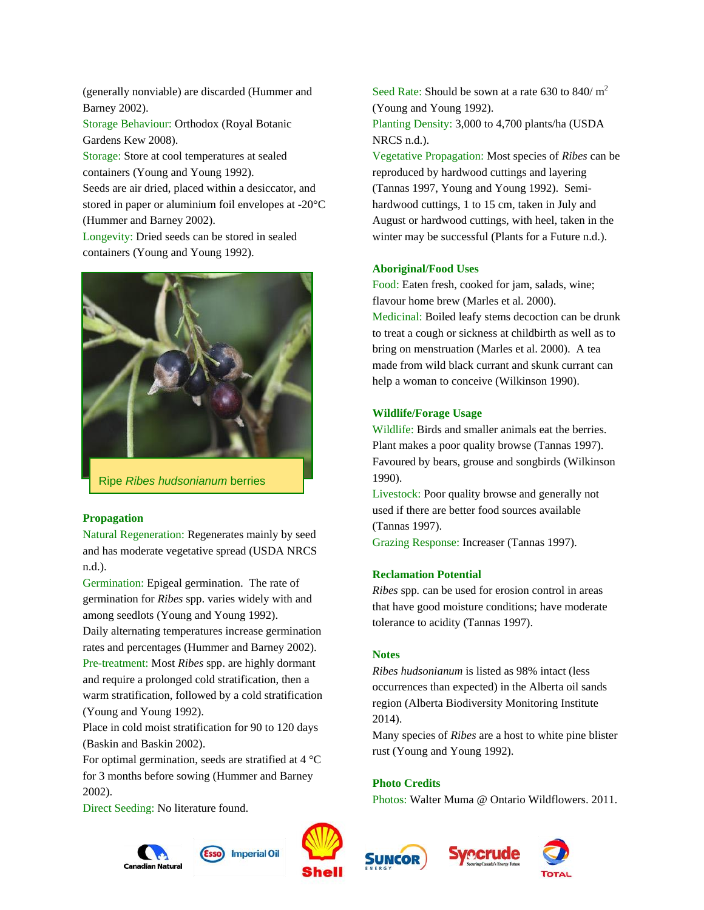(generally nonviable) are discarded (Hummer and Barney 2002).

Storage Behaviour: Orthodox (Royal Botanic Gardens Kew 2008).

Storage: Store at cool temperatures at sealed containers (Young and Young 1992). Seeds are air dried, placed within a desiccator, and stored in paper or aluminium foil envelopes at -20°C (Hummer and Barney 2002).

Longevity: Dried seeds can be stored in sealed containers (Young and Young 1992).



Ripe *Ribes hudsonianum* berries

#### **Propagation**

Natural Regeneration: Regenerates mainly by seed and has moderate vegetative spread (USDA NRCS n.d.).

Germination: Epigeal germination. The rate of germination for *Ribes* spp. varies widely with and among seedlots (Young and Young 1992).

Daily alternating temperatures increase germination rates and percentages (Hummer and Barney 2002). Pre-treatment: Most *Ribes* spp. are highly dormant and require a prolonged cold stratification, then a warm stratification, followed by a cold stratification (Young and Young 1992).

Place in cold moist stratification for 90 to 120 days (Baskin and Baskin 2002).

For optimal germination, seeds are stratified at  $4^{\circ}$ C for 3 months before sowing (Hummer and Barney 2002).

Direct Seeding: No literature found.





**Imperial Oil** 

Seed Rate: Should be sown at a rate 630 to 840/ $m^2$ (Young and Young 1992). Planting Density: 3,000 to 4,700 plants/ha (USDA NRCS n.d.).

Vegetative Propagation: Most species of *Ribes* can be reproduced by hardwood cuttings and layering (Tannas 1997, Young and Young 1992). Semihardwood cuttings, 1 to 15 cm, taken in July and August or hardwood cuttings, with heel, taken in the winter may be successful (Plants for a Future n.d.).

## **Aboriginal/Food Uses**

Food: Eaten fresh, cooked for jam, salads, wine; flavour home brew (Marles et al. 2000). Medicinal: Boiled leafy stems decoction can be drunk to treat a cough or sickness at childbirth as well as to bring on menstruation (Marles et al. 2000). A tea made from wild black currant and skunk currant can help a woman to conceive (Wilkinson 1990).

## **Wildlife/Forage Usage**

Wildlife: Birds and smaller animals eat the berries. Plant makes a poor quality browse (Tannas 1997). Favoured by bears, grouse and songbirds (Wilkinson 1990).

Livestock: Poor quality browse and generally not used if there are better food sources available (Tannas 1997).

Grazing Response: Increaser (Tannas 1997).

#### **Reclamation Potential**

*Ribes* spp*.* can be used for erosion control in areas that have good moisture conditions; have moderate tolerance to acidity (Tannas 1997).

#### **Notes**

*Ribes hudsonianum* is listed as 98% intact (less occurrences than expected) in the Alberta oil sands region (Alberta Biodiversity Monitoring Institute 2014).

Many species of *Ribes* are a host to white pine blister rust (Young and Young 1992).

## **Photo Credits**

Photos: Walter Muma @ Ontario Wildflowers. 2011.